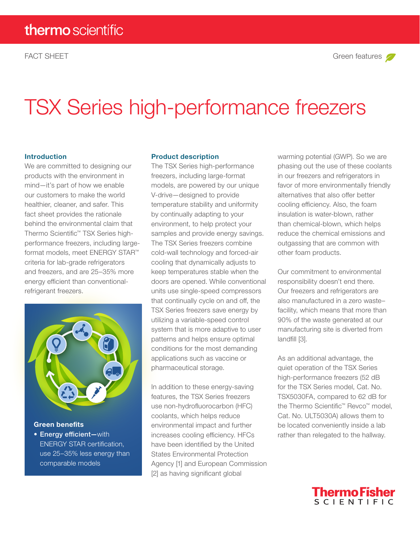# TSX Series high-performance freezers

#### Introduction

We are committed to designing our products with the environment in mind—it's part of how we enable our customers to make the world healthier, cleaner, and safer. This fact sheet provides the rationale behind the environmental claim that Thermo Scientific™ TSX Series highperformance freezers, including largeformat models, meet ENERGY STAR™ criteria for lab-grade refrigerators and freezers, and are 25–35% more energy efficient than conventionalrefrigerant freezers.



Green benefits • Energy efficient—with ENERGY STAR certification, use 25–35% less energy than comparable models

#### Product description

The TSX Series high-performance freezers, including large-format models, are powered by our unique V-drive—designed to provide temperature stability and uniformity by continually adapting to your environment, to help protect your samples and provide energy savings. The TSX Series freezers combine cold-wall technology and forced-air cooling that dynamically adjusts to keep temperatures stable when the doors are opened. While conventional units use single-speed compressors that continually cycle on and off, the TSX Series freezers save energy by utilizing a variable-speed control system that is more adaptive to user patterns and helps ensure optimal conditions for the most demanding applications such as vaccine or pharmaceutical storage.

In addition to these energy-saving features, the TSX Series freezers use non-hydrofluorocarbon (HFC) coolants, which helps reduce environmental impact and further increases cooling efficiency. HFCs have been identified by the United States Environmental Protection Agency [1] and European Commission [2] as having significant global

warming potential (GWP). So we are phasing out the use of these coolants in our freezers and refrigerators in favor of more environmentally friendly alternatives that also offer better cooling efficiency. Also, the foam insulation is water-blown, rather than chemical-blown, which helps reduce the chemical emissions and outgassing that are common with other foam products.

Our commitment to environmental responsibility doesn't end there. Our freezers and refrigerators are also manufactured in a zero waste– facility, which means that more than 90% of the waste generated at our manufacturing site is diverted from landfill [3].

As an additional advantage, the quiet operation of the TSX Series high-performance freezers (52 dB for the TSX Series model, Cat. No. TSX5030FA, compared to 62 dB for the Thermo Scientific™ Revco™ model, Cat. No. ULT5030A) allows them to be located conveniently inside a lab rather than relegated to the hallway.